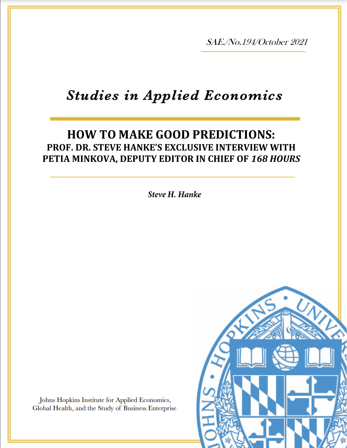SAE./No.194/October 2021

# **Studies in Applied Economics**

## **HOW TO MAKE GOOD PREDICTIONS: PROF. DR. STEVE HANKE'S EXCLUSIVE INTERVIEW WITH PETIA MINKOVA, DEPUTY EDITOR IN CHIEF OF** *168 HOURS*

**Steve H. Hanke** 



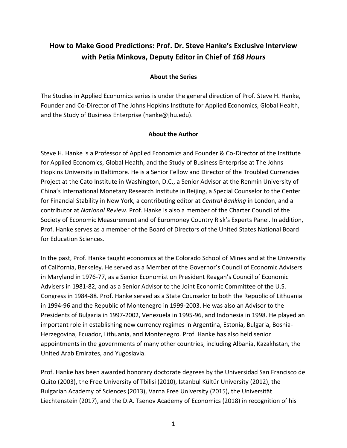### **How to Make Good Predictions: Prof. Dr. Steve Hanke's Exclusive Interview with Petia Minkova, Deputy Editor in Chief of** *168 Hours*

#### **About the Series**

The Studies in Applied Economics series is under the general direction of Prof. Steve H. Hanke, Founder and Co-Director of The Johns Hopkins Institute for Applied Economics, Global Health, and the Study of Business Enterprise (hanke@jhu.edu).

#### **About the Author**

Steve H. Hanke is a Professor of Applied Economics and Founder & Co-Director of the Institute for Applied Economics, Global Health, and the Study of Business Enterprise at The Johns Hopkins University in Baltimore. He is a Senior Fellow and Director of the Troubled Currencies Project at the Cato Institute in Washington, D.C., a Senior Advisor at the Renmin University of China's International Monetary Research Institute in Beijing, a Special Counselor to the Center for Financial Stability in New York, a contributing editor at *Central Banking* in London, and a contributor at *National Review*. Prof. Hanke is also a member of the Charter Council of the Society of Economic Measurement and of Euromoney Country Risk's Experts Panel. In addition, Prof. Hanke serves as a member of the Board of Directors of the United States National Board for Education Sciences.

In the past, Prof. Hanke taught economics at the Colorado School of Mines and at the University of California, Berkeley. He served as a Member of the Governor's Council of Economic Advisers in Maryland in 1976-77, as a Senior Economist on President Reagan's Council of Economic Advisers in 1981-82, and as a Senior Advisor to the Joint Economic Committee of the U.S. Congress in 1984-88. Prof. Hanke served as a State Counselor to both the Republic of Lithuania in 1994-96 and the Republic of Montenegro in 1999-2003. He was also an Advisor to the Presidents of Bulgaria in 1997-2002, Venezuela in 1995-96, and Indonesia in 1998. He played an important role in establishing new currency regimes in Argentina, Estonia, Bulgaria, Bosnia-Herzegovina, Ecuador, Lithuania, and Montenegro. Prof. Hanke has also held senior appointments in the governments of many other countries, including Albania, Kazakhstan, the United Arab Emirates, and Yugoslavia.

Prof. Hanke has been awarded honorary doctorate degrees by the Universidad San Francisco de Quito (2003), the Free University of Tbilisi (2010), Istanbul Kültür University (2012), the Bulgarian Academy of Sciences (2013), Varna Free University (2015), the Universität Liechtenstein (2017), and the D.A. Tsenov Academy of Economics (2018) in recognition of his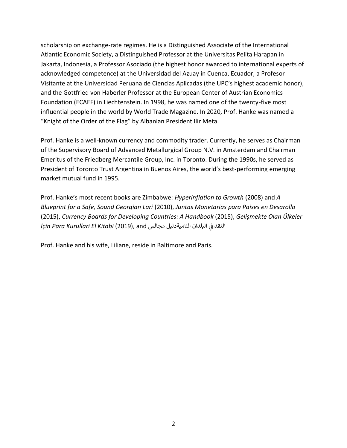scholarship on exchange-rate regimes. He is a Distinguished Associate of the International Atlantic Economic Society, a Distinguished Professor at the Universitas Pelita Harapan in Jakarta, Indonesia, a Professor Asociado (the highest honor awarded to international experts of acknowledged competence) at the Universidad del Azuay in Cuenca, Ecuador, a Profesor Visitante at the Universidad Peruana de Ciencias Aplicadas (the UPC's highest academic honor), and the Gottfried von Haberler Professor at the European Center of Austrian Economics Foundation (ECAEF) in Liechtenstein. In 1998, he was named one of the twenty-five most influential people in the world by World Trade Magazine. In 2020, Prof. Hanke was named a "Knight of the Order of the Flag" by Albanian President Ilir Meta.

Prof. Hanke is a well-known currency and commodity trader. Currently, he serves as Chairman of the Supervisory Board of Advanced Metallurgical Group N.V. in Amsterdam and Chairman Emeritus of the Friedberg Mercantile Group, Inc. in Toronto. During the 1990s, he served as President of Toronto Trust Argentina in Buenos Aires, the world's best-performing emerging market mutual fund in 1995.

Prof. Hanke's most recent books are Zimbabwe: *Hyperinflation to Growth* (2008) and *A Blueprint for a Safe, Sound Georgian Lari* (2010), *Juntas Monetarias para Paises en Desarollo*  (2015), *Currency Boards for Developing Countries: A Handbook* (2015), *Gelişmekte Olan Ülkeler İçin Para Kurullari El Kitabi* (2019), and مجالس الناميةدليل مجالس ֧֧֦֧֦֧֦֧֦֧֦֧֦֧֦֧֦֧֦֧ׅ֧֧֜֜֜֜֜֜֜֞֜֜֞֟֓֡֬֜֓֜

Prof. Hanke and his wife, Liliane, reside in Baltimore and Paris.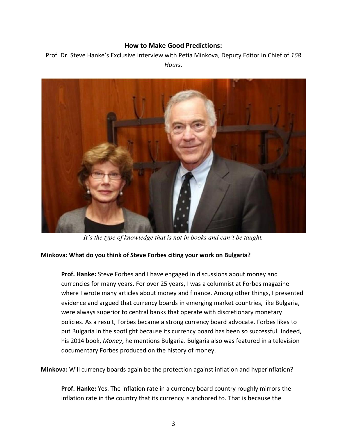#### **How to Make Good Predictions:**

Prof. Dr. Steve Hanke's Exclusive Interview with Petia Minkova, Deputy Editor in Chief of *168 Hours.*



*It's the type of knowledge that is not in books and can't be taught.*

#### **Minkova: What do you think of Steve Forbes citing your work on Bulgaria?**

**Prof. Hanke:** Steve Forbes and I have engaged in discussions about money and currencies for many years. For over 25 years, I was a columnist at Forbes magazine where I wrote many articles about money and finance. Among other things, I presented evidence and argued that currency boards in emerging market countries, like Bulgaria, were always superior to central banks that operate with discretionary monetary policies. As a result, Forbes became a strong currency board advocate. Forbes likes to put Bulgaria in the spotlight because its currency board has been so successful. Indeed, his 2014 book, *Money*, he mentions Bulgaria. Bulgaria also was featured in a television documentary Forbes produced on the history of money.

**Minkova:** Will currency boards again be the protection against inflation and hyperinflation?

**Prof. Hanke:** Yes. The inflation rate in a currency board country roughly mirrors the inflation rate in the country that its currency is anchored to. That is because the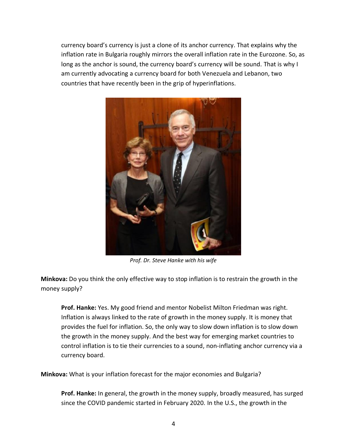currency board's currency is just a clone of its anchor currency. That explains why the inflation rate in Bulgaria roughly mirrors the overall inflation rate in the Eurozone. So, as long as the anchor is sound, the currency board's currency will be sound. That is why I am currently advocating a currency board for both Venezuela and Lebanon, two countries that have recently been in the grip of hyperinflations.



*Prof. Dr. Steve Hanke with his wife*

**Minkova:** Do you think the only effective way to stop inflation is to restrain the growth in the money supply?

**Prof. Hanke:** Yes. My good friend and mentor Nobelist Milton Friedman was right. Inflation is always linked to the rate of growth in the money supply. It is money that provides the fuel for inflation. So, the only way to slow down inflation is to slow down the growth in the money supply. And the best way for emerging market countries to control inflation is to tie their currencies to a sound, non-inflating anchor currency via a currency board.

**Minkova:** What is your inflation forecast for the major economies and Bulgaria?

**Prof. Hanke:** In general, the growth in the money supply, broadly measured, has surged since the COVID pandemic started in February 2020. In the U.S., the growth in the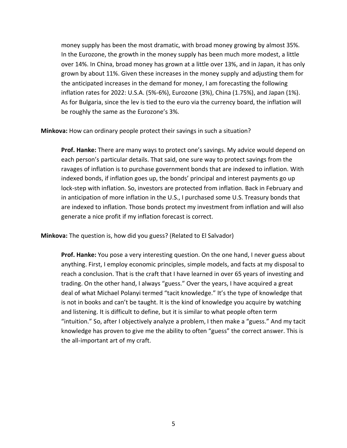money supply has been the most dramatic, with broad money growing by almost 35%. In the Eurozone, the growth in the money supply has been much more modest, a little over 14%. In China, broad money has grown at a little over 13%, and in Japan, it has only grown by about 11%. Given these increases in the money supply and adjusting them for the anticipated increases in the demand for money, I am forecasting the following inflation rates for 2022: U.S.A. (5%-6%), Eurozone (3%), China (1.75%), and Japan (1%). As for Bulgaria, since the lev is tied to the euro via the currency board, the inflation will be roughly the same as the Eurozone's 3%.

**Minkova:** How can ordinary people protect their savings in such a situation?

**Prof. Hanke:** There are many ways to protect one's savings. My advice would depend on each person's particular details. That said, one sure way to protect savings from the ravages of inflation is to purchase government bonds that are indexed to inflation. With indexed bonds, if inflation goes up, the bonds' principal and interest payments go up lock-step with inflation. So, investors are protected from inflation. Back in February and in anticipation of more inflation in the U.S., I purchased some U.S. Treasury bonds that are indexed to inflation. Those bonds protect my investment from inflation and will also generate a nice profit if my inflation forecast is correct.

**Minkova:** The question is, how did you guess? (Related to El Salvador)

**Prof. Hanke:** You pose a very interesting question. On the one hand, I never guess about anything. First, I employ economic principles, simple models, and facts at my disposal to reach a conclusion. That is the craft that I have learned in over 65 years of investing and trading. On the other hand, I always "guess." Over the years, I have acquired a great deal of what Michael Polanyi termed "tacit knowledge." It's the type of knowledge that is not in books and can't be taught. It is the kind of knowledge you acquire by watching and listening. It is difficult to define, but it is similar to what people often term "intuition." So, after I objectively analyze a problem, I then make a "guess." And my tacit knowledge has proven to give me the ability to often "guess" the correct answer. This is the all-important art of my craft.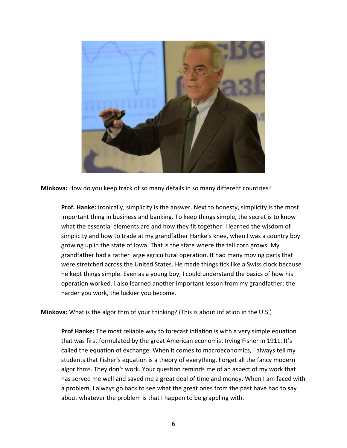

**Minkova:** How do you keep track of so many details in so many different countries?

**Prof. Hanke:** Ironically, simplicity is the answer. Next to honesty, simplicity is the most important thing in business and banking. To keep things simple, the secret is to know what the essential elements are and how they fit together. I learned the wisdom of simplicity and how to trade at my grandfather Hanke's knee, when I was a country boy growing up in the state of Iowa. That is the state where the tall corn grows. My grandfather had a rather large agricultural operation. It had many moving parts that were stretched across the United States. He made things tick like a Swiss clock because he kept things simple. Even as a young boy, I could understand the basics of how his operation worked. I also learned another important lesson from my grandfather: the harder you work, the luckier you become.

**Minkova:** What is the algorithm of your thinking? (This is about inflation in the U.S.)

**Prof Hanke:** The most reliable way to forecast inflation is with a very simple equation that was first formulated by the great American economist Irving Fisher in 1911. It's called the equation of exchange. When it comes to macroeconomics, I always tell my students that Fisher's equation is a theory of everything. Forget all the fancy modern algorithms. They don't work. Your question reminds me of an aspect of my work that has served me well and saved me a great deal of time and money. When I am faced with a problem, I always go back to see what the great ones from the past have had to say about whatever the problem is that I happen to be grappling with.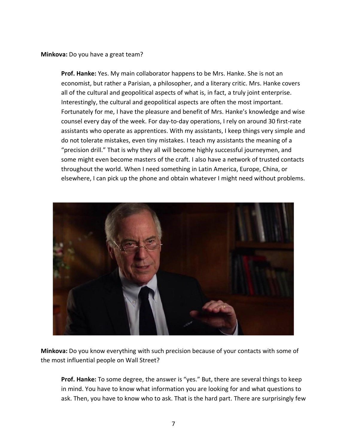**Minkova:** Do you have a great team?

**Prof. Hanke:** Yes. My main collaborator happens to be Mrs. Hanke. She is not an economist, but rather a Parisian, a philosopher, and a literary critic. Mrs. Hanke covers all of the cultural and geopolitical aspects of what is, in fact, a truly joint enterprise. Interestingly, the cultural and geopolitical aspects are often the most important. Fortunately for me, I have the pleasure and benefit of Mrs. Hanke's knowledge and wise counsel every day of the week. For day-to-day operations, I rely on around 30 first-rate assistants who operate as apprentices. With my assistants, I keep things very simple and do not tolerate mistakes, even tiny mistakes. I teach my assistants the meaning of a "precision drill." That is why they all will become highly successful journeymen, and some might even become masters of the craft. I also have a network of trusted contacts throughout the world. When I need something in Latin America, Europe, China, or elsewhere, I can pick up the phone and obtain whatever I might need without problems.



**Minkova:** Do you know everything with such precision because of your contacts with some of the most influential people on Wall Street?

**Prof. Hanke:** To some degree, the answer is "yes." But, there are several things to keep in mind. You have to know what information you are looking for and what questions to ask. Then, you have to know who to ask. That is the hard part. There are surprisingly few